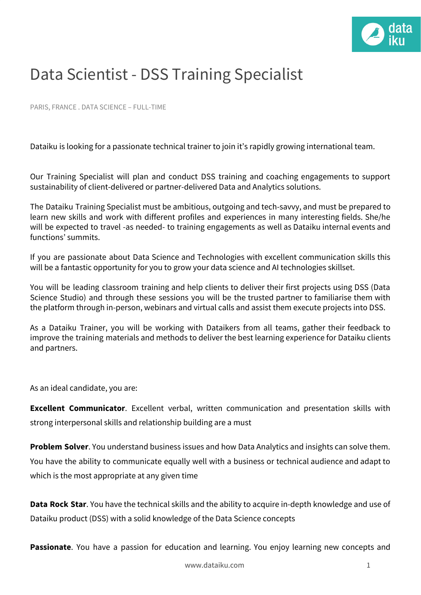

## Data Scientist - DSS Training Specialist

PARIS, FRANCE . DATA SCIENCE – FULL-TIME

Dataiku is looking for a passionate technical trainer to join it's rapidly growing international team.

Our Training Specialist will plan and conduct DSS training and coaching engagements to support sustainability of client-delivered or partner-delivered Data and Analytics solutions.

The Dataiku Training Specialist must be ambitious, outgoing and tech-savvy, and must be prepared to learn new skills and work with different profiles and experiences in many interesting fields. She/he will be expected to travel -as needed- to training engagements as well as Dataiku internal events and functions' summits.

If you are passionate about Data Science and Technologies with excellent communication skills this will be a fantastic opportunity for you to grow your data science and AI technologies skillset.

You will be leading classroom training and help clients to deliver their first projects using DSS (Data Science Studio) and through these sessions you will be the trusted partner to familiarise them with the platform through in-person, webinars and virtual calls and assist them execute projects into DSS.

As a Dataiku Trainer, you will be working with Dataikers from all teams, gather their feedback to improve the training materials and methods to deliver the best learning experience for Dataiku clients and partners.

As an ideal candidate, you are:

**Excellent Communicator**. Excellent verbal, written communication and presentation skills with strong interpersonal skills and relationship building are a must

**Problem Solver**. You understand business issues and how Data Analytics and insights can solve them. You have the ability to communicate equally well with a business or technical audience and adapt to which is the most appropriate at any given time

**Data Rock Star**. You have the technical skills and the ability to acquire in-depth knowledge and use of Dataiku product (DSS) with a solid knowledge of the Data Science concepts

**Passionate**. You have a passion for education and learning. You enjoy learning new concepts and